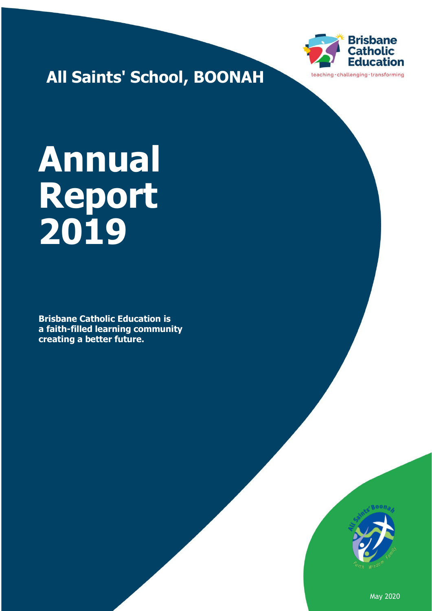

**All Saints' School, BOONAH**

# **Annual Report 2019**

**Brisbane Catholic Education is a faith-filled learning community creating a better future.**



May 2020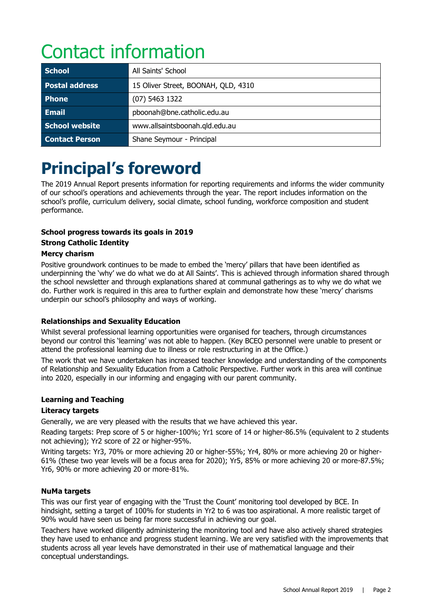# Contact information

| <b>School</b>         | All Saints' School                  |
|-----------------------|-------------------------------------|
| Postal address        | 15 Oliver Street, BOONAH, QLD, 4310 |
| <b>Phone</b>          | $(07)$ 5463 1322                    |
| <b>Email</b>          | pboonah@bne.catholic.edu.au         |
| School website        | www.allsaintsboonah.qld.edu.au      |
| <b>Contact Person</b> | Shane Seymour - Principal           |

## **Principal's foreword**

The 2019 Annual Report presents information for reporting requirements and informs the wider community of our school's operations and achievements through the year. The report includes information on the school's profile, curriculum delivery, social climate, school funding, workforce composition and student performance.

#### **School progress towards its goals in 2019**

#### **Strong Catholic Identity**

#### **Mercy charism**

Positive groundwork continues to be made to embed the 'mercy' pillars that have been identified as underpinning the 'why' we do what we do at All Saints'. This is achieved through information shared through the school newsletter and through explanations shared at communal gatherings as to why we do what we do. Further work is required in this area to further explain and demonstrate how these 'mercy' charisms underpin our school's philosophy and ways of working.

#### **Relationships and Sexuality Education**

Whilst several professional learning opportunities were organised for teachers, through circumstances beyond our control this 'learning' was not able to happen. (Key BCEO personnel were unable to present or attend the professional learning due to illness or role restructuring in at the Office.)

The work that we have undertaken has increased teacher knowledge and understanding of the components of Relationship and Sexuality Education from a Catholic Perspective. Further work in this area will continue into 2020, especially in our informing and engaging with our parent community.

#### **Learning and Teaching**

#### **Literacy targets**

Generally, we are very pleased with the results that we have achieved this year.

Reading targets: Prep score of 5 or higher-100%; Yr1 score of 14 or higher-86.5% (equivalent to 2 students not achieving); Yr2 score of 22 or higher-95%.

Writing targets: Yr3, 70% or more achieving 20 or higher-55%; Yr4, 80% or more achieving 20 or higher-61% (these two year levels will be a focus area for 2020); Yr5, 85% or more achieving 20 or more-87.5%; Yr6, 90% or more achieving 20 or more-81%.

#### **NuMa targets**

This was our first year of engaging with the 'Trust the Count' monitoring tool developed by BCE. In hindsight, setting a target of 100% for students in Yr2 to 6 was too aspirational. A more realistic target of 90% would have seen us being far more successful in achieving our goal.

Teachers have worked diligently administering the monitoring tool and have also actively shared strategies they have used to enhance and progress student learning. We are very satisfied with the improvements that students across all year levels have demonstrated in their use of mathematical language and their conceptual understandings.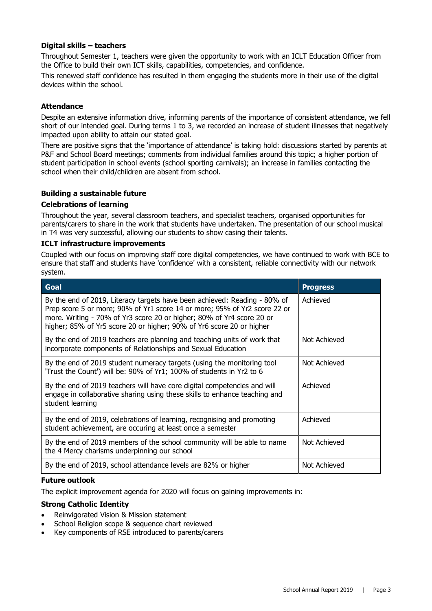#### **Digital skills – teachers**

Throughout Semester 1, teachers were given the opportunity to work with an ICLT Education Officer from the Office to build their own ICT skills, capabilities, competencies, and confidence.

This renewed staff confidence has resulted in them engaging the students more in their use of the digital devices within the school.

#### **Attendance**

Despite an extensive information drive, informing parents of the importance of consistent attendance, we fell short of our intended goal. During terms 1 to 3, we recorded an increase of student illnesses that negatively impacted upon ability to attain our stated goal.

There are positive signs that the 'importance of attendance' is taking hold: discussions started by parents at P&F and School Board meetings; comments from individual families around this topic; a higher portion of student participation in school events (school sporting carnivals); an increase in families contacting the school when their child/children are absent from school.

#### **Building a sustainable future**

#### **Celebrations of learning**

Throughout the year, several classroom teachers, and specialist teachers, organised opportunities for parents/carers to share in the work that students have undertaken. The presentation of our school musical in T4 was very successful, allowing our students to show casing their talents.

#### **ICLT infrastructure improvements**

Coupled with our focus on improving staff core digital competencies, we have continued to work with BCE to ensure that staff and students have 'confidence' with a consistent, reliable connectivity with our network system.

| <b>Goal</b>                                                                                                                                                                                                                                                                                             | <b>Progress</b> |
|---------------------------------------------------------------------------------------------------------------------------------------------------------------------------------------------------------------------------------------------------------------------------------------------------------|-----------------|
| By the end of 2019, Literacy targets have been achieved: Reading - 80% of<br>Prep score 5 or more; 90% of Yr1 score 14 or more; 95% of Yr2 score 22 or<br>more. Writing - 70% of Yr3 score 20 or higher; 80% of Yr4 score 20 or<br>higher; 85% of Yr5 score 20 or higher; 90% of Yr6 score 20 or higher | Achieved        |
| By the end of 2019 teachers are planning and teaching units of work that<br>incorporate components of Relationships and Sexual Education                                                                                                                                                                | Not Achieved    |
| By the end of 2019 student numeracy targets (using the monitoring tool<br>'Trust the Count') will be: 90% of Yr1; 100% of students in Yr2 to 6                                                                                                                                                          | Not Achieved    |
| By the end of 2019 teachers will have core digital competencies and will<br>engage in collaborative sharing using these skills to enhance teaching and<br>student learning                                                                                                                              | Achieved        |
| By the end of 2019, celebrations of learning, recognising and promoting<br>student achievement, are occuring at least once a semester                                                                                                                                                                   | Achieved        |
| By the end of 2019 members of the school community will be able to name<br>the 4 Mercy charisms underpinning our school                                                                                                                                                                                 | Not Achieved    |
| By the end of 2019, school attendance levels are 82% or higher                                                                                                                                                                                                                                          | Not Achieved    |

#### **Future outlook**

The explicit improvement agenda for 2020 will focus on gaining improvements in:

#### **Strong Catholic Identity**

- Reinvigorated Vision & Mission statement
- School Religion scope & sequence chart reviewed
- Key components of RSE introduced to parents/carers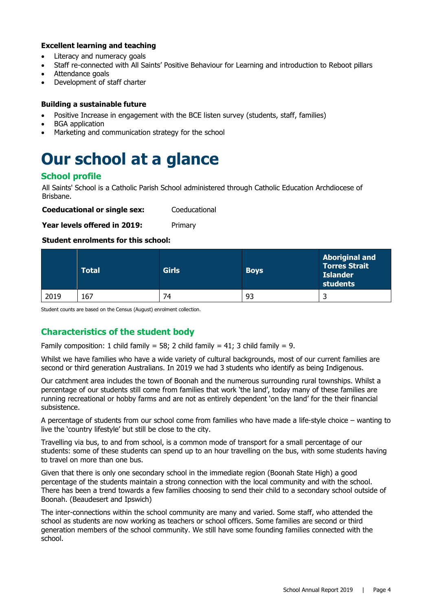#### **Excellent learning and teaching**

- Literacy and numeracy goals
- Staff re-connected with All Saints' Positive Behaviour for Learning and introduction to Reboot pillars
- Attendance goals
- Development of staff charter

#### **Building a sustainable future**

- Positive Increase in engagement with the BCE listen survey (students, staff, families)
- BGA application
- Marketing and communication strategy for the school

### **Our school at a glance**

#### **School profile**

All Saints' School is a Catholic Parish School administered through Catholic Education Archdiocese of Brisbane.

**Coeducational or single sex:** Coeducational

**Year levels offered in 2019:** Primary

#### **Student enrolments for this school:**

|      | <b>Total</b> | <b>Girls</b> | <b>Boys</b> | <b>Aboriginal and</b><br><b>Torres Strait</b><br><b>Islander</b><br>students |
|------|--------------|--------------|-------------|------------------------------------------------------------------------------|
| 2019 | 167          | 74           | 93          | ے                                                                            |

Student counts are based on the Census (August) enrolment collection.

#### **Characteristics of the student body**

Family composition: 1 child family = 58; 2 child family = 41; 3 child family = 9.

Whilst we have families who have a wide variety of cultural backgrounds, most of our current families are second or third generation Australians. In 2019 we had 3 students who identify as being Indigenous.

Our catchment area includes the town of Boonah and the numerous surrounding rural townships. Whilst a percentage of our students still come from families that work 'the land', today many of these families are running recreational or hobby farms and are not as entirely dependent 'on the land' for the their financial subsistence.

A percentage of students from our school come from families who have made a life-style choice – wanting to live the 'country lifestyle' but still be close to the city.

Travelling via bus, to and from school, is a common mode of transport for a small percentage of our students: some of these students can spend up to an hour travelling on the bus, with some students having to travel on more than one bus.

Given that there is only one secondary school in the immediate region (Boonah State High) a good percentage of the students maintain a strong connection with the local community and with the school. There has been a trend towards a few families choosing to send their child to a secondary school outside of Boonah. (Beaudesert and Ipswich)

The inter-connections within the school community are many and varied. Some staff, who attended the school as students are now working as teachers or school officers. Some families are second or third generation members of the school community. We still have some founding families connected with the school.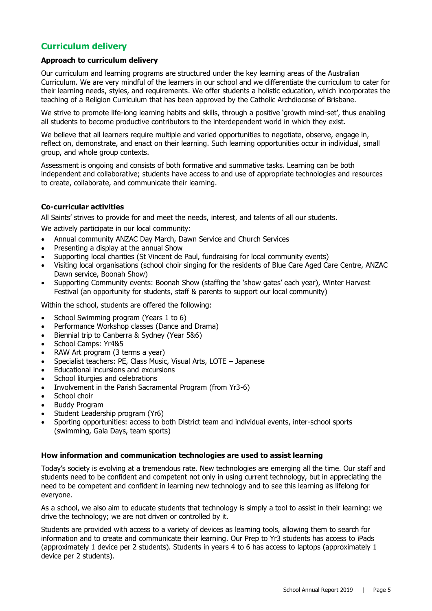#### **Curriculum delivery**

#### **Approach to curriculum delivery**

Our curriculum and learning programs are structured under the key learning areas of the Australian Curriculum. We are very mindful of the learners in our school and we differentiate the curriculum to cater for their learning needs, styles, and requirements. We offer students a holistic education, which incorporates the teaching of a Religion Curriculum that has been approved by the Catholic Archdiocese of Brisbane.

We strive to promote life-long learning habits and skills, through a positive 'growth mind-set', thus enabling all students to become productive contributors to the interdependent world in which they exist.

We believe that all learners require multiple and varied opportunities to negotiate, observe, engage in, reflect on, demonstrate, and enact on their learning. Such learning opportunities occur in individual, small group, and whole group contexts.

Assessment is ongoing and consists of both formative and summative tasks. Learning can be both independent and collaborative; students have access to and use of appropriate technologies and resources to create, collaborate, and communicate their learning.

#### **Co-curricular activities**

All Saints' strives to provide for and meet the needs, interest, and talents of all our students.

We actively participate in our local community:

- Annual community ANZAC Day March, Dawn Service and Church Services
- Presenting a display at the annual Show
- Supporting local charities (St Vincent de Paul, fundraising for local community events)
- Visiting local organisations (school choir singing for the residents of Blue Care Aged Care Centre, ANZAC Dawn service, Boonah Show)
- Supporting Community events: Boonah Show (staffing the 'show gates' each year), Winter Harvest Festival (an opportunity for students, staff & parents to support our local community)

Within the school, students are offered the following:

- School Swimming program (Years 1 to 6)
- Performance Workshop classes (Dance and Drama)
- Biennial trip to Canberra & Sydney (Year 5&6)
- School Camps: Yr4&5
- RAW Art program (3 terms a year)
- Specialist teachers: PE, Class Music, Visual Arts, LOTE Japanese
- Educational incursions and excursions
- School liturgies and celebrations
- Involvement in the Parish Sacramental Program (from Yr3-6)
- School choir
- Buddy Program
- Student Leadership program (Yr6)
- Sporting opportunities: access to both District team and individual events, inter-school sports (swimming, Gala Days, team sports)

#### **How information and communication technologies are used to assist learning**

Today's society is evolving at a tremendous rate. New technologies are emerging all the time. Our staff and students need to be confident and competent not only in using current technology, but in appreciating the need to be competent and confident in learning new technology and to see this learning as lifelong for everyone.

As a school, we also aim to educate students that technology is simply a tool to assist in their learning: we drive the technology; we are not driven or controlled by it.

Students are provided with access to a variety of devices as learning tools, allowing them to search for information and to create and communicate their learning. Our Prep to Yr3 students has access to iPads (approximately 1 device per 2 students). Students in years 4 to 6 has access to laptops (approximately 1 device per 2 students).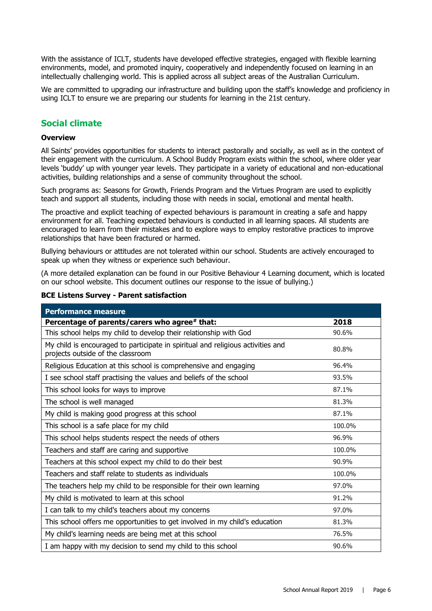With the assistance of ICLT, students have developed effective strategies, engaged with flexible learning environments, model, and promoted inquiry, cooperatively and independently focused on learning in an intellectually challenging world. This is applied across all subject areas of the Australian Curriculum.

We are committed to upgrading our infrastructure and building upon the staff's knowledge and proficiency in using ICLT to ensure we are preparing our students for learning in the 21st century.

#### **Social climate**

#### **Overview**

All Saints' provides opportunities for students to interact pastorally and socially, as well as in the context of their engagement with the curriculum. A School Buddy Program exists within the school, where older year levels 'buddy' up with younger year levels. They participate in a variety of educational and non-educational activities, building relationships and a sense of community throughout the school.

Such programs as: Seasons for Growth, Friends Program and the Virtues Program are used to explicitly teach and support all students, including those with needs in social, emotional and mental health.

The proactive and explicit teaching of expected behaviours is paramount in creating a safe and happy environment for all. Teaching expected behaviours is conducted in all learning spaces. All students are encouraged to learn from their mistakes and to explore ways to employ restorative practices to improve relationships that have been fractured or harmed.

Bullying behaviours or attitudes are not tolerated within our school. Students are actively encouraged to speak up when they witness or experience such behaviour.

(A more detailed explanation can be found in our Positive Behaviour 4 Learning document, which is located on our school website. This document outlines our response to the issue of bullying.)

| <b>Performance measure</b>                                                                                           |        |
|----------------------------------------------------------------------------------------------------------------------|--------|
| Percentage of parents/carers who agree# that:                                                                        | 2018   |
| This school helps my child to develop their relationship with God                                                    | 90.6%  |
| My child is encouraged to participate in spiritual and religious activities and<br>projects outside of the classroom | 80.8%  |
| Religious Education at this school is comprehensive and engaging                                                     | 96.4%  |
| I see school staff practising the values and beliefs of the school                                                   | 93.5%  |
| This school looks for ways to improve                                                                                | 87.1%  |
| The school is well managed                                                                                           | 81.3%  |
| My child is making good progress at this school                                                                      | 87.1%  |
| This school is a safe place for my child                                                                             | 100.0% |
| This school helps students respect the needs of others                                                               | 96.9%  |
| Teachers and staff are caring and supportive                                                                         | 100.0% |
| Teachers at this school expect my child to do their best                                                             | 90.9%  |
| Teachers and staff relate to students as individuals                                                                 | 100.0% |
| The teachers help my child to be responsible for their own learning                                                  | 97.0%  |
| My child is motivated to learn at this school                                                                        | 91.2%  |
| I can talk to my child's teachers about my concerns                                                                  | 97.0%  |
| This school offers me opportunities to get involved in my child's education                                          | 81.3%  |
| My child's learning needs are being met at this school                                                               | 76.5%  |
| I am happy with my decision to send my child to this school                                                          | 90.6%  |

#### **BCE Listens Survey - Parent satisfaction**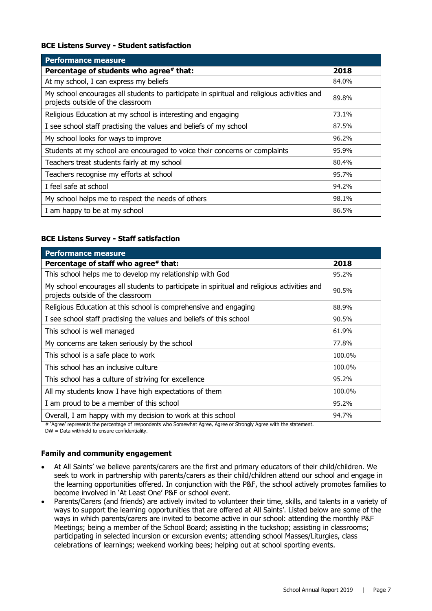#### **BCE Listens Survey - Student satisfaction**

| <b>Performance measure</b>                                                                                                      |       |
|---------------------------------------------------------------------------------------------------------------------------------|-------|
| Percentage of students who agree# that:                                                                                         | 2018  |
| At my school, I can express my beliefs                                                                                          | 84.0% |
| My school encourages all students to participate in spiritual and religious activities and<br>projects outside of the classroom | 89.8% |
| Religious Education at my school is interesting and engaging                                                                    | 73.1% |
| I see school staff practising the values and beliefs of my school                                                               | 87.5% |
| My school looks for ways to improve                                                                                             | 96.2% |
| Students at my school are encouraged to voice their concerns or complaints                                                      | 95.9% |
| Teachers treat students fairly at my school                                                                                     | 80.4% |
| Teachers recognise my efforts at school                                                                                         | 95.7% |
| I feel safe at school                                                                                                           | 94.2% |
| My school helps me to respect the needs of others                                                                               | 98.1% |
| I am happy to be at my school                                                                                                   | 86.5% |

#### **BCE Listens Survey - Staff satisfaction**

| <b>Performance measure</b>                                                                                                      |        |
|---------------------------------------------------------------------------------------------------------------------------------|--------|
| Percentage of staff who agree# that:                                                                                            | 2018   |
| This school helps me to develop my relationship with God                                                                        | 95.2%  |
| My school encourages all students to participate in spiritual and religious activities and<br>projects outside of the classroom | 90.5%  |
| Religious Education at this school is comprehensive and engaging                                                                | 88.9%  |
| I see school staff practising the values and beliefs of this school                                                             | 90.5%  |
| This school is well managed                                                                                                     | 61.9%  |
| My concerns are taken seriously by the school                                                                                   | 77.8%  |
| This school is a safe place to work                                                                                             | 100.0% |
| This school has an inclusive culture                                                                                            | 100.0% |
| This school has a culture of striving for excellence                                                                            | 95.2%  |
| All my students know I have high expectations of them                                                                           | 100.0% |
| I am proud to be a member of this school                                                                                        | 95.2%  |
| Overall, I am happy with my decision to work at this school                                                                     | 94.7%  |

# 'Agree' represents the percentage of respondents who Somewhat Agree, Agree or Strongly Agree with the statement. DW = Data withheld to ensure confidentiality.

#### **Family and community engagement**

- At All Saints' we believe parents/carers are the first and primary educators of their child/children. We seek to work in partnership with parents/carers as their child/children attend our school and engage in the learning opportunities offered. In conjunction with the P&F, the school actively promotes families to become involved in 'At Least One' P&F or school event.
- Parents/Carers (and friends) are actively invited to volunteer their time, skills, and talents in a variety of ways to support the learning opportunities that are offered at All Saints'. Listed below are some of the ways in which parents/carers are invited to become active in our school: attending the monthly P&F Meetings; being a member of the School Board; assisting in the tuckshop; assisting in classrooms; participating in selected incursion or excursion events; attending school Masses/Liturgies, class celebrations of learnings; weekend working bees; helping out at school sporting events.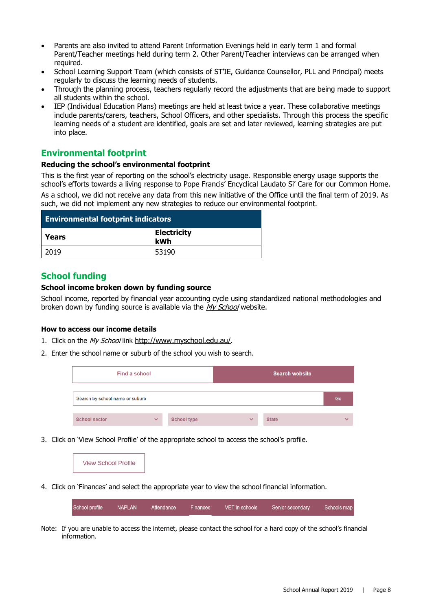- Parents are also invited to attend Parent Information Evenings held in early term 1 and formal Parent/Teacher meetings held during term 2. Other Parent/Teacher interviews can be arranged when required.
- School Learning Support Team (which consists of ST'IE, Guidance Counsellor, PLL and Principal) meets regularly to discuss the learning needs of students.
- Through the planning process, teachers regularly record the adjustments that are being made to support all students within the school.
- IEP (Individual Education Plans) meetings are held at least twice a year. These collaborative meetings include parents/carers, teachers, School Officers, and other specialists. Through this process the specific learning needs of a student are identified, goals are set and later reviewed, learning strategies are put into place.

#### **Environmental footprint**

#### **Reducing the school's environmental footprint**

This is the first year of reporting on the school's electricity usage. Responsible energy usage supports the school's efforts towards a living response to Pope Francis' Encyclical Laudato Si' Care for our Common Home. As a school, we did not receive any data from this new initiative of the Office until the final term of 2019. As such, we did not implement any new strategies to reduce our environmental footprint.

| <b>Environmental footprint indicators</b> |                           |  |
|-------------------------------------------|---------------------------|--|
| l Years                                   | <b>Electricity</b><br>kWh |  |
| 2019                                      | 53190                     |  |

#### **School funding**

#### **School income broken down by funding source**

School income, reported by financial year accounting cycle using standardized national methodologies and broken down by funding source is available via the [My School](http://www.myschool.edu.au/) website.

#### **How to access our income details**

- 1. Click on the My School link <http://www.myschool.edu.au/>.
- 2. Enter the school name or suburb of the school you wish to search.

| Find a school                   |              |                    |              | <b>Search website</b> |              |
|---------------------------------|--------------|--------------------|--------------|-----------------------|--------------|
| Search by school name or suburb |              |                    |              |                       | Go           |
| <b>School sector</b>            | $\checkmark$ | <b>School type</b> | $\checkmark$ | <b>State</b>          | $\checkmark$ |

3. Click on 'View School Profile' of the appropriate school to access the school's profile.



4. Click on 'Finances' and select the appropriate year to view the school financial information.

| School profile NAPLAN |  |  | Attendance Finances VET in schools Senior secondary Schools map |  |
|-----------------------|--|--|-----------------------------------------------------------------|--|

Note: If you are unable to access the internet, please contact the school for a hard copy of the school's financial information.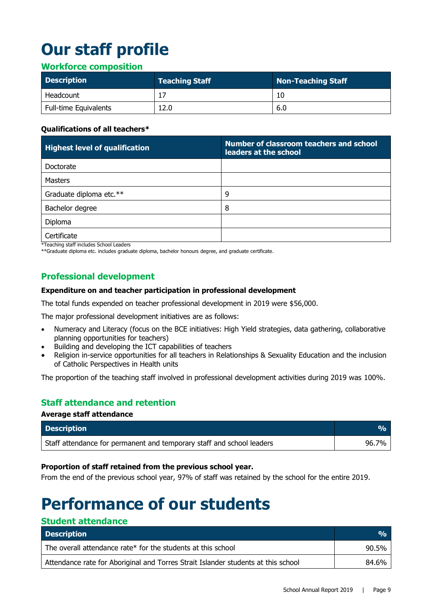# **Our staff profile**

#### **Workforce composition**

| <b>Description</b>           | <b>Teaching Staff</b> | Non-Teaching Staff |
|------------------------------|-----------------------|--------------------|
| Headcount                    |                       |                    |
| <b>Full-time Equivalents</b> | 12.0                  | 6.0                |

#### **Qualifications of all teachers\***

| <b>Highest level of qualification</b> | Number of classroom teachers and school<br>leaders at the school |
|---------------------------------------|------------------------------------------------------------------|
| Doctorate                             |                                                                  |
| <b>Masters</b>                        |                                                                  |
| Graduate diploma etc.**               | 9                                                                |
| Bachelor degree                       | 8                                                                |
| Diploma                               |                                                                  |
| Certificate                           |                                                                  |

\*Teaching staff includes School Leaders

\*\*Graduate diploma etc. includes graduate diploma, bachelor honours degree, and graduate certificate.

#### **Professional development**

#### **Expenditure on and teacher participation in professional development**

The total funds expended on teacher professional development in 2019 were \$56,000.

The major professional development initiatives are as follows:

- Numeracy and Literacy (focus on the BCE initiatives: High Yield strategies, data gathering, collaborative planning opportunities for teachers)
- Building and developing the ICT capabilities of teachers
- Religion in-service opportunities for all teachers in Relationships & Sexuality Education and the inclusion of Catholic Perspectives in Health units

The proportion of the teaching staff involved in professional development activities during 2019 was 100%.

#### **Staff attendance and retention**

#### **Average staff attendance**

**Student attendance**

| <b>Description</b>                                                    | VA.   |
|-----------------------------------------------------------------------|-------|
| Staff attendance for permanent and temporary staff and school leaders | 96.7% |

#### **Proportion of staff retained from the previous school year.**

From the end of the previous school year, 97% of staff was retained by the school for the entire 2019.

### **Performance of our students**

| staacht attenaanse<br><b>Description</b>                                          | O <sub>n</sub> |
|-----------------------------------------------------------------------------------|----------------|
| The overall attendance rate* for the students at this school                      | 90.5%          |
| Attendance rate for Aboriginal and Torres Strait Islander students at this school | 84.6%          |